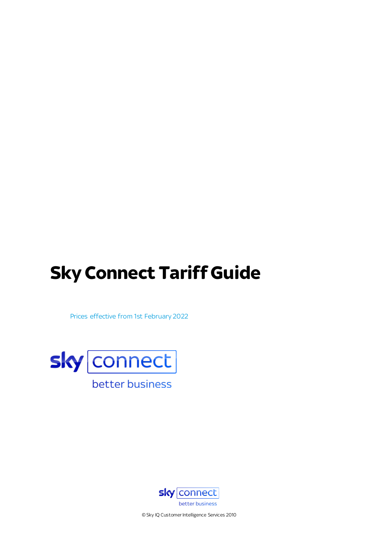# **Sky Connect Tariff Guide**

Prices effective from 1st February 2022





© Sky IQ Customer Intelligence Services 2010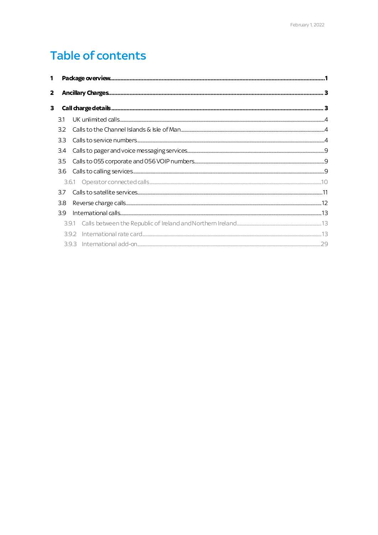## **Table of contents**

| $\mathbf{2}$ |     |  |
|--------------|-----|--|
| 3            |     |  |
| 31           |     |  |
| 32           |     |  |
| 33           |     |  |
| 3.4          |     |  |
| 3.5          |     |  |
| 3.6          |     |  |
|              |     |  |
| 37           |     |  |
| 38           |     |  |
| 39           |     |  |
|              | 391 |  |
|              |     |  |
|              | 393 |  |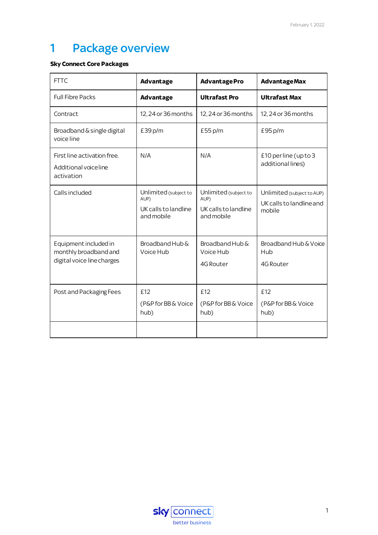## <span id="page-2-0"></span>1 Package overview

#### **Sky Connect Core Packages**

| <b>Advantage</b>                                                    | <b>AdvantagePro</b>                                                 | <b>AdvantageMax</b>                                              |
|---------------------------------------------------------------------|---------------------------------------------------------------------|------------------------------------------------------------------|
| <b>Advantage</b>                                                    | <b>Ultrafast Pro</b>                                                | <b>Ultrafast Max</b>                                             |
| 12, 24 or 36 months                                                 | 12, 24 or 36 months                                                 | 12, 24 or 36 months                                              |
| £39p/m                                                              | £55 p/m                                                             | £95 p/m                                                          |
| N/A                                                                 | N/A                                                                 | £10 perline (up to 3<br>additional lines)                        |
| Unlimited (subject to<br>AUP)<br>UK calls to landline<br>and mobile | Unlimited (subject to<br>AUP)<br>UK calls to landline<br>and mobile | Unlimited (subject to AUP)<br>UK calls to landline and<br>mobile |
| Broadband Hub &<br>Voice Hub                                        | Broadband Hub &<br>Voice Hub<br>4G Router                           | Broadband Hub & Voice<br>Hub<br>4G Router                        |
| £12<br>(P&P for BB & Voice<br>hub)                                  | £12<br>(P&P for BB & Voice<br>hub)                                  | £12<br>(P&P for BB & Voice<br>hub)                               |
|                                                                     |                                                                     |                                                                  |

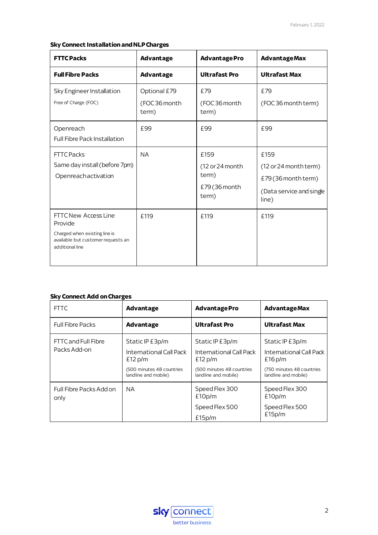#### **Sky Connect Installation and NLP Charges**

| <b>FTTC Packs</b>                                                                                                         | <b>Advantage</b>                       | <b>AdvantagePro</b>                                         | <b>AdvantageMax</b>                                                                       |
|---------------------------------------------------------------------------------------------------------------------------|----------------------------------------|-------------------------------------------------------------|-------------------------------------------------------------------------------------------|
| <b>Full Fibre Packs</b>                                                                                                   | <b>Advantage</b>                       | <b>Ultrafast Pro</b>                                        | <b>Ultrafast Max</b>                                                                      |
| Sky Engineer Installation<br>Free of Charge (FOC)                                                                         | Optional £79<br>(FOC 36 month<br>term) | £79<br>(FOC36 month<br>term)                                | £79<br>(FOC36 month term)                                                                 |
| Openreach<br><b>Full Fibre Pack Installation</b>                                                                          | £99                                    | £99                                                         | £99                                                                                       |
| <b>FTTC Packs</b><br>Same day install (before 7pm)<br>Openreachactivation                                                 | <b>NA</b>                              | £159<br>(12 or 24 month)<br>term)<br>£79 (36 month<br>term) | £159<br>(12 or 24 month term)<br>£79 (36 month term)<br>(Data service and single<br>line) |
| FTTC New Access Line<br>Provide<br>Charged when existing line is<br>available but customer requests an<br>additional line | £119                                   | £119                                                        | £119                                                                                      |

#### **Sky Connect Add on Charges**

| <b>FTTC</b>                     | <b>Advantage</b>                                  | <b>AdvantagePro</b>                               | <b>AdvantageMax</b>                               |
|---------------------------------|---------------------------------------------------|---------------------------------------------------|---------------------------------------------------|
| <b>Full Fibre Packs</b>         | Advantage                                         | <b>Ultrafast Pro</b>                              | <b>Ultrafast Max</b>                              |
| FTTC and Full Fibre             | Static IP £3p/m                                   | Static IP £3p/m                                   | Static IP £3p/m                                   |
| Packs Add-on                    | International Call Pack<br>£12 p/m                | International Call Pack<br>£12 p/m                | International Call Pack<br>£16p/m                 |
|                                 | (500 minutes 48 countries<br>landline and mobile) | (500 minutes 48 countries<br>landline and mobile) | (750 minutes 48 countries<br>landline and mobile) |
| Full Fibre Packs Add on<br>only | NA.                                               | Speed Flex 300<br>£10p/m                          | Speed Flex 300<br>£10p/m                          |
|                                 |                                                   | Speed Flex 500                                    | Speed Flex 500                                    |
|                                 |                                                   | £15p/m                                            | £15p/m                                            |

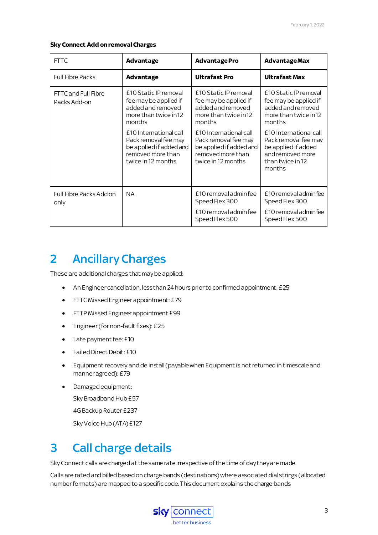#### **Sky Connect Add on removal Charges**

| <b>FTTC</b>                         | <b>Advantage</b>                                                                                                     | <b>AdvantagePro</b>                                                                                                  | <b>AdvantageMax</b>                                                                                                     |
|-------------------------------------|----------------------------------------------------------------------------------------------------------------------|----------------------------------------------------------------------------------------------------------------------|-------------------------------------------------------------------------------------------------------------------------|
| <b>Full Fibre Packs</b>             | Advantage                                                                                                            | <b>Ultrafast Pro</b>                                                                                                 | <b>Ultrafast Max</b>                                                                                                    |
| FTTC and Full Fibre<br>Packs Add-on | £10 Static IP removal<br>fee may be applied if<br>added and removed<br>more than twice in 12<br>months               | £10 Static IP removal<br>fee may be applied if<br>added and removed<br>more than twice in 12<br>months               | £10 Static IP removal<br>fee may be applied if<br>added and removed<br>more than twice in 12<br>months                  |
|                                     | £10 International call<br>Pack removal fee may<br>be applied if added and<br>removed more than<br>twice in 12 months | £10 International call<br>Pack removal fee may<br>be applied if added and<br>removed more than<br>twice in 12 months | £10 International call<br>Pack removal fee may<br>be applied if added<br>and removed more<br>than twice in 12<br>months |
| Full Fibre Packs Add on<br>only     | <b>NA</b>                                                                                                            | £10 removal admin fee<br>Speed Flex 300                                                                              | £10 removal adminfee<br>Speed Flex 300                                                                                  |
|                                     |                                                                                                                      | £10 removal adminfee<br>Speed Flex 500                                                                               | £10 removal admin fee<br>Speed Flex 500                                                                                 |

## <span id="page-4-0"></span>2 Ancillary Charges

These are additional charges that maybe applied:

- An Engineer cancellation, less than 24 hours prior to confirmed appointment:£25
- FTTC Missed Engineer appointment: £79
- FTTP Missed Engineer appointment £99
- $\bullet$  Engineer (for non-fault fixes): £25
- Late payment fee: £10
- Failed Direct Debit: £10
- Equipment recovery and de install(payablewhen Equipment is not returned in timescale and manner agreed):£79
- Damaged equipment:

Sky Broadband Hub £57

4G Backup Router £237

Sky Voice Hub (ATA) £127

## <span id="page-4-1"></span>3 Call charge details

Sky Connect calls are charged at the same rate irrespective of the time of day they are made.

Calls are rated and billed based on charge bands (destinations) where associated dial strings (allocated number formats) are mapped to a specific code. This document explains the charge bands

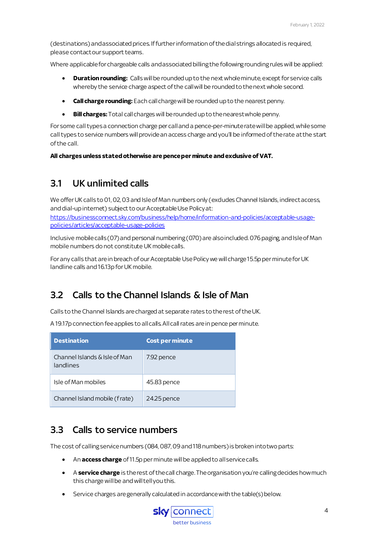(destinations) and associated prices. Iffurther information of the dial strings allocated is required, please contact our support teams.

Where applicable for chargeable calls and associated billing the following rounding rules will be applied:

- **Duration rounding:** Calls will be rounded up to the next whole minute, except for service calls whereby the service charge aspect of the call will be rounded to the next whole second.
- **Call charge rounding:** Each call charge will be rounded up to the nearest penny.
- **Bill charges:** Total call charges will be rounded up to the nearest whole penny.

For some call typesa connection charge per call and a pence-per-minute rate will be applied, whilesome call types to service numbers will provide an access charge and you'll be informed of the rate at the start of the call.

**All charges unless statedotherwise are pence per minute and exclusive of VAT.**

### <span id="page-5-0"></span>3.1 UK unlimited calls

We offer UK calls to 01, 02, 03 and Isle of Man numbers only (excludes Channel Islands, indirect access, and dial-up internet) subject to our Acceptable Use Policyat:

[https://businessconnect.sky.com/business/help/home/information-and-policies/acceptable-usage](https://businessconnect.sky.com/business/help/home/information-and-policies/acceptable-usage-policies/articles/acceptable-usage-policies)[policies/articles/acceptable-usage-policies](https://businessconnect.sky.com/business/help/home/information-and-policies/acceptable-usage-policies/articles/acceptable-usage-policies)

Inclusive mobile calls(07)and personal numbering (070) are also included. 076 paging, and Isle of Man mobile numbers do not constitute UK mobile calls.

For any calls that are in breach of our Acceptable Use Policy we will charge 15.5p per minutefor UK landline calls and 16.13p for UK mobile.

## <span id="page-5-1"></span>3.2 Calls to the Channel Islands & Isle of Man

Calls to the Channel Islands are charged at separate rates to the rest of the UK.

A 19.17p connection fee applies to all calls. All call rates are in pence per minute.

| <b>Destination</b>                         | <b>Cost per minute</b> |
|--------------------------------------------|------------------------|
| Channel Islands & Isle of Man<br>landlines | 7.92 pence             |
| Isle of Man mobiles                        | 45.83 pence            |
| Channel Island mobile (frate)              | 24.25 pence            |

### <span id="page-5-2"></span>3.3 Calls to service numbers

The cost of calling service numbers (084, 087, 09 and 118 numbers) is broken into two parts:

- An **access charge** of 11.5p per minute will be applied to all service calls.
- **A service charge** is the rest of the call charge. The organisation you're calling decides how much this charge will be and will tell you this.
- Service charges are generally calculated in accordance with the table(s) below.

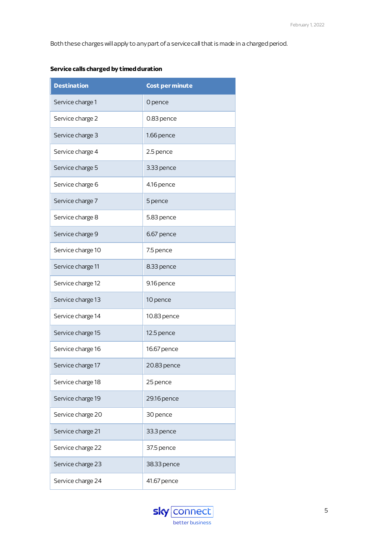Both these charges will apply to any part of a service call that is made in a charged period.

| <b>Destination</b> | <b>Cost per minute</b> |
|--------------------|------------------------|
| Service charge 1   | 0 pence                |
| Service charge 2   | 0.83 pence             |
| Service charge 3   | 1.66 pence             |
| Service charge 4   | 2.5 pence              |
| Service charge 5   | 3.33 pence             |
| Service charge 6   | 4.16 pence             |
| Service charge 7   | 5 pence                |
| Service charge 8   | 5.83 pence             |
| Service charge 9   | 6.67 pence             |
| Service charge 10  | 7.5 pence              |
| Service charge 11  | 8.33 pence             |
| Service charge 12  | 9.16 pence             |
| Service charge 13  | 10 pence               |
| Service charge 14  | 10.83 pence            |
| Service charge 15  | 12.5 pence             |
| Service charge 16  | 16.67 pence            |
| Service charge 17  | 20.83 pence            |
| Service charge 18  | 25 pence               |
| Service charge 19  | 29.16 pence            |
| Service charge 20  | 30 pence               |
| Service charge 21  | 33.3 pence             |
| Service charge 22  | 37.5 pence             |
| Service charge 23  | 38.33 pence            |
| Service charge 24  | 41.67 pence            |

#### **Service calls charged by timed duration**

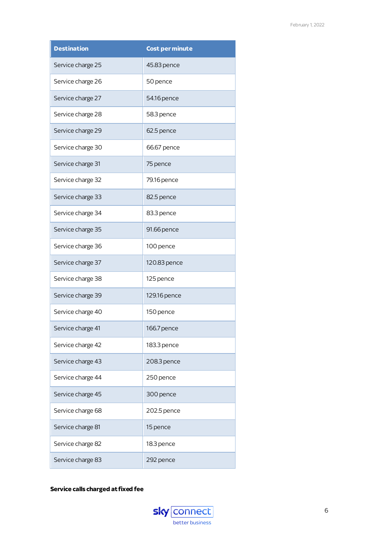| <b>Destination</b> | <b>Cost per minute</b> |
|--------------------|------------------------|
| Service charge 25  | 45.83 pence            |
| Service charge 26  | 50 pence               |
| Service charge 27  | 54.16 pence            |
| Service charge 28  | 58.3 pence             |
| Service charge 29  | 62.5 pence             |
| Service charge 30  | 66.67 pence            |
| Service charge 31  | 75 pence               |
| Service charge 32  | 79.16 pence            |
| Service charge 33  | 82.5 pence             |
| Service charge 34  | 83.3 pence             |
| Service charge 35  | 91.66 pence            |
| Service charge 36  | 100 pence              |
| Service charge 37  | 120.83 pence           |
| Service charge 38  | 125 pence              |
| Service charge 39  | 129.16 pence           |
| Service charge 40  | 150 pence              |
| Service charge 41  | 166.7 pence            |
| Service charge 42  | 183.3 pence            |
| Service charge 43  | 208.3 pence            |
| Service charge 44  | 250 pence              |
| Service charge 45  | 300 pence              |
| Service charge 68  | 202.5 pence            |
| Service charge 81  | 15 pence               |
| Service charge 82  | 18.3 pence             |
| Service charge 83  | 292 pence              |

#### **Service calls charged at fixed fee**

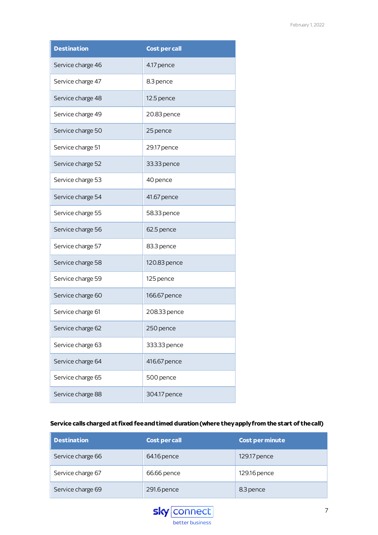| <b>Destination</b> | <b>Cost per call</b> |
|--------------------|----------------------|
| Service charge 46  | 4.17 pence           |
| Service charge 47  | 8.3 pence            |
| Service charge 48  | 12.5 pence           |
| Service charge 49  | 20.83 pence          |
| Service charge 50  | 25 pence             |
| Service charge 51  | 29.17 pence          |
| Service charge 52  | 33.33 pence          |
| Service charge 53  | 40 pence             |
| Service charge 54  | 41.67 pence          |
| Service charge 55  | 58.33 pence          |
| Service charge 56  | 62.5 pence           |
| Service charge 57  | 83.3 pence           |
| Service charge 58  | 120.83 pence         |
| Service charge 59  | 125 pence            |
| Service charge 60  | 166.67 pence         |
| Service charge 61  | 208.33 pence         |
| Service charge 62  | 250 pence            |
| Service charge 63  | 333.33 pence         |
| Service charge 64  | 416.67 pence         |
| Service charge 65  | 500 pence            |
| Service charge 88  | 304.17 pence         |

#### **Service calls charged at fixed fee and timed duration (where they apply from the start of the call)**

| <b>Destination</b> | <b>Cost per call</b> | <b>Cost per minute</b> |
|--------------------|----------------------|------------------------|
| Service charge 66  | 64.16 pence          | 129.17 pence           |
| Service charge 67  | 66.66 pence          | 129.16 pence           |
| Service charge 69  | 291.6 pence          | 8.3 pence              |

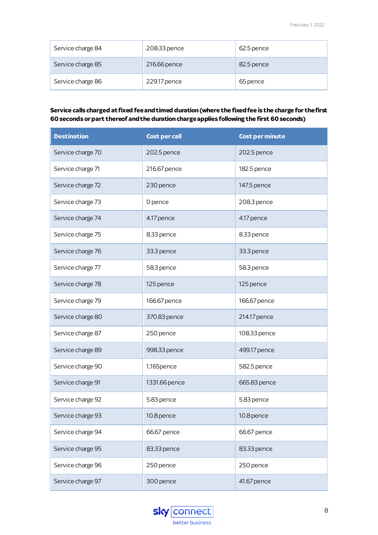| Service charge 84 | 208.33 pence | 62.5 pence |
|-------------------|--------------|------------|
| Service charge 85 | 216.66 pence | 82.5 pence |
| Service charge 86 | 229.17 pence | 65 pence   |

#### **Service calls charged at fixed fee and timed duration (where the fixed fee is the charge for the first 60 seconds or part thereof and the duration charge applies following the first 60 seconds)**

| <b>Destination</b> | <b>Cost per call</b> | <b>Cost per minute</b> |
|--------------------|----------------------|------------------------|
| Service charge 70  | 202.5 pence          | 202.5 pence            |
| Service charge 71  | 216.67 pence         | 182.5 pence            |
| Service charge 72  | 230 pence            | 147.5 pence            |
| Service charge 73  | 0 pence              | 208.3 pence            |
| Service charge 74  | 4.17 pence           | 4.17 pence             |
| Service charge 75  | 8.33 pence           | 8.33 pence             |
| Service charge 76  | 33.3 pence           | 33.3 pence             |
| Service charge 77  | 58.3 pence           | 58.3 pence             |
| Service charge 78  | 125 pence            | 125 pence              |
| Service charge 79  | 166.67 pence         | 166.67 pence           |
| Service charge 80  | 370.83 pence         | 214.17 pence           |
| Service charge 87  | 250 pence            | 108.33 pence           |
| Service charge 89  | 998.33 pence         | 499.17 pence           |
| Service charge 90  | 1,165pence           | 582.5 pence            |
| Service charge 91  | 1331.66 pence        | 665.83 pence           |
| Service charge 92  | 5.83 pence           | 5.83 pence             |
| Service charge 93  | 10.8 pence           | 10.8 pence             |
| Service charge 94  | 66.67 pence          | 66.67 pence            |
| Service charge 95  | 83.33 pence          | 83.33 pence            |
| Service charge 96  | 250 pence            | 250 pence              |
| Service charge 97  | 300 pence            | 41.67 pence            |

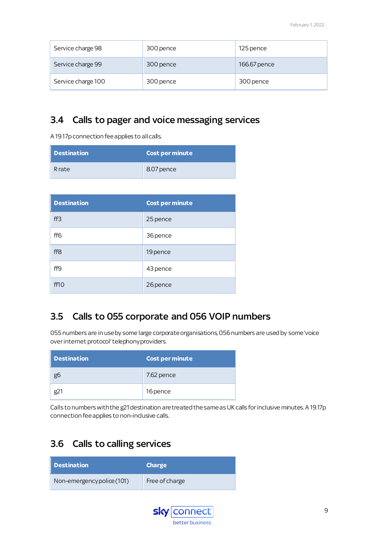| Service charge 98  | 300 pence | 125 pence    |
|--------------------|-----------|--------------|
| Service charge 99  | 300 pence | 166.67 pence |
| Service charge 100 | 300 pence | 300 pence    |

## <span id="page-10-0"></span>3.4 Calls to pager and voice messaging services

A 19.17p connection fee applies to all calls.

| Destination | $\mid$ Cost per minute $\mid$ |
|-------------|-------------------------------|
| Rrate       | 8.07 pence                    |

| <b>Destination</b> | <b>Cost per minute</b> |
|--------------------|------------------------|
| ff3                | 25 pence               |
| ff <sub>6</sub>    | 36 pence               |
| ff8                | 19 pence               |
| ff9                | 43 pence               |
| ff10               | 26 pence               |

## <span id="page-10-1"></span>3.5 Calls to 055 corporate and 056 VOIP numbers

055 numbers are in use by some large corporate organisations, 056 numbers are used by some 'voice over internet protocol' telephony providers.

| Destination | Cost per minute |
|-------------|-----------------|
| go          | 7.62 pence      |
|             | 16 pence        |

Calls to numbers with the g21 destination are treated the same as UK calls for inclusive minutes. A 19.17p connection fee applies to non-indusive calls.

## <span id="page-10-2"></span>3.6 Calls to calling services

| Destination                | <b>Charge</b>  |
|----------------------------|----------------|
| Non-emergency police (101) | Free of charge |

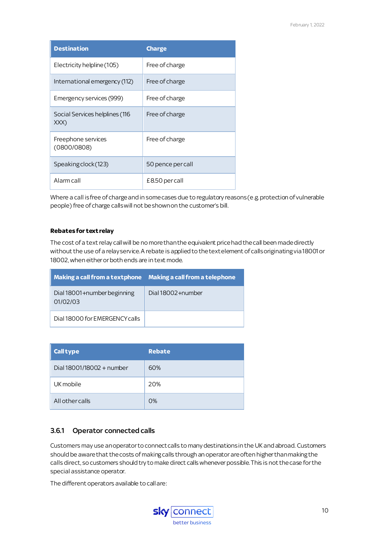| <b>Destination</b>                     | <b>Charge</b>     |
|----------------------------------------|-------------------|
| Electricity helpline (105)             | Free of charge    |
| International emergency (112)          | Free of charge    |
| Emergency services (999)               | Free of charge    |
| Social Services helplines (116<br>XXX) | Free of charge    |
| Freephone services<br>(0800/0808)      | Free of charge    |
| Speaking clock (123)                   | 50 pence per call |
| Alarm call                             | £8.50 per call    |

Where a call is free of charge and in some cases due to regulatory reasons (e.g. protection of vulnerable people) free of charge calls will not be shown on the customer's bill.

#### **Rebates for text relay**

The cost of a text relay call will be no more than the equivalent price had the call been made directly without the use of a relay service. A rebate is applied to the text element of calls originating via 18001 or 18002, when either or both ends are in text mode.

| Making a call from a textphone Making a call from a telephone |                   |
|---------------------------------------------------------------|-------------------|
| Dial 18001+number beginning<br>01/02/03                       | Dial 18002+number |
| Dial 18000 for EMERGENCY calls                                |                   |

| <b>Call type</b>            | <b>Rebate</b> |
|-----------------------------|---------------|
| Dial $18001/18002 +$ number | 60%           |
| UK mobile                   | 20%           |
| All other calls             | 0%            |

#### <span id="page-11-0"></span>3.6.1 Operator connected calls

Customers may use an operator to connect calls to many destinations in the UK and abroad. Customers should be aware that the costs of making calls through an operator are often higher than making the calls direct, so customers should try to make direct calls whenever possible. This is not the case for the special assistance operator.

The different operators available to call are:

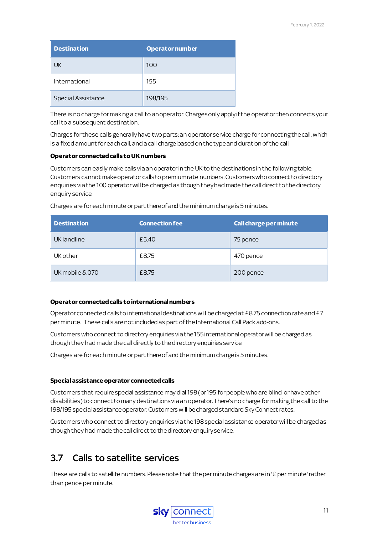| <b>Destination</b> | <b>Operator number</b> |
|--------------------|------------------------|
| <b>UK</b>          | 100                    |
| International      | 155                    |
| Special Assistance | 198/195                |

There is no charge for making a call to an operator. Charges only apply if the operator then connects your call to a subsequent destination.

Charges for these calls generally have two parts: an operator service charge for connecting the call, which is a fixed amount for each call, and a call charge based on the type and duration of the call.

#### **Operator connected calls to UK numbers**

Customers can easily make calls via an operator in the UK to the destinations in the following table. Customers cannot make operator calls to premium rate numbers. Customers who connect to directory enquiries via the 100 operator will be charged as though they had made the call direct to the directory enquiry service.

| <b>Destination</b> | <b>Connection fee</b> | <b>Call charge per minute</b> |
|--------------------|-----------------------|-------------------------------|
| UK landline        | £5.40                 | 75 pence                      |
| UK other           | £8.75                 | 470 pence                     |
| UK mobile & 070    | £8.75                 | 200 pence                     |

Charges are for each minute or part thereof and the minimum charge is 5 minutes.

#### **Operator connected calls to international numbers**

Operator connected calls to international destinations will be charged at £8.75 connection rate and £7 per minute. These calls are not included as part of the International Call Pack add-ons.

Customers who connect to directory enquiries via the 155 international operator will be charged as though they had made the call directly to the directory enquiries service.

Charges are for each minute or part thereof and the minimum charge is 5 minutes.

#### **Special assistance operator connected calls**

Customers that require special assistance may dial 198 (or 195 forpeople who are blind or have other disabilities) to connect to many destinations via an operator. There's no charge for making the call to the 198/195 special assistance operator. Customers will be charged standard Sky Connect rates.

Customers who connect to directory enquiries via the 198 special assistance operatorwill be charged as though they had made the call direct to the directory enquiry service.

## <span id="page-12-0"></span>3.7 Calls to satellite services

These are calls to satellite numbers. Please note that the per minute charges are in '£ per minute' rather than pence per minute.

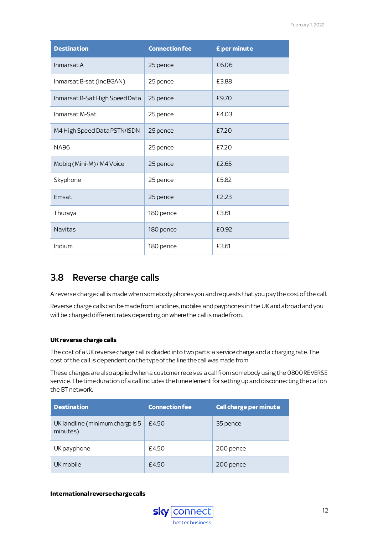| <b>Destination</b>             | <b>Connection fee</b> | £ per minute |
|--------------------------------|-----------------------|--------------|
| Inmarsat A                     | 25 pence              | £6.06        |
| Inmarsat B-sat (incBGAN)       | 25 pence              | £3.88        |
| Inmarsat B-Sat High Speed Data | 25 pence              | £9.70        |
| Inmarsat M-Sat                 | 25 pence              | £4.03        |
| M4 High Speed Data PSTN/ISDN   | 25 pence              | £7.20        |
| <b>NA96</b>                    | 25 pence              | £7.20        |
| Mobiq (Mini-M) / M4 Voice      | 25 pence              | £2.65        |
| Skyphone                       | 25 pence              | £5.82        |
| Emsat                          | 25 pence              | £2.23        |
| Thuraya                        | 180 pence             | £3.61        |
| <b>Navitas</b>                 | 180 pence             | £0.92        |
| Iridium                        | 180 pence             | £3.61        |

## <span id="page-13-0"></span>3.8 Reverse charge calls

A reverse charge call is made when somebody phones you and requests that you pay the cost of the call.

Reverse charge calls can be made from landlines, mobiles and payphones in the UK and abroad and you will be charged different rates depending on where the call is made from.

#### **UK reverse charge calls**

The cost of a UK reverse charge call is divided into two parts: a service charge and a charging rate. The cost of the call is dependent on the type of the line the call was made from.

These charges are also applied when a customer receives a call from somebody using the 0800 REVERSE service. The time duration of a call includes the time element for setting up and disconnecting the call on the BT network.

| <b>Destination</b>                           | <b>Connection fee</b> | <b>Call charge per minute</b> |
|----------------------------------------------|-----------------------|-------------------------------|
| UK landline (minimum charge is 5<br>minutes) | £4.50                 | 35 pence                      |
| UK payphone                                  | £4.50                 | 200 pence                     |
| UK mobile                                    | £4.50                 | 200 pence                     |

#### **International reverse charge calls**

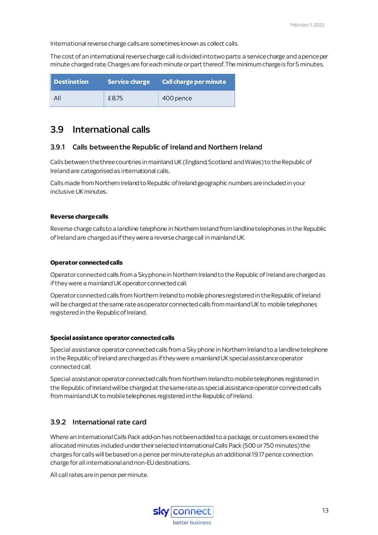International reverse charge calls are sometimes known as collect calls.

The cost of an international reverse charge call is divided into two parts: a service charge and a pence per minute charged rate. Charges are for each minute or part thereof. The minimum charge is for 5 minutes.

| Destination | Service charge | $\blacksquare$ Call charge per minute $\blacksquare$ |
|-------------|----------------|------------------------------------------------------|
| All         | £8.75          | 400 pence                                            |

### <span id="page-14-0"></span>3.9 International calls

#### <span id="page-14-1"></span>3.9.1 Calls between the Republic of Ireland and Northern Ireland

Calls between the three countries in mainland UK (England, Scotland and Wales) to the Republic of Ireland are categorised as international calls.

Calls made from Northern Ireland to Republic of Ireland geographic numbers are included in your inclusive UK minutes.

#### **Reverse charge calls**

Reverse charge calls to a landline telephone in Northern Ireland from landline telephones in the Republic of Ireland are charged as if they were a reverse charge call in mainland UK.

#### **Operator connected calls**

Operator connected calls from a Sky phone in Northern Ireland to the Republic of Ireland are charged as if they were a mainland UK operator connected call.

Operator connected calls from Northern Ireland to mobile phones registered in the Republic of Ireland will be charged at the same rate as operator connected calls from mainland UK to mobile telephones registered in the Republic of Ireland.

#### **Special assistance operator connected calls**

Special assistance operator connected calls from a Sky phone in Northern Ireland to a landline telephone in the Republic of Ireland are charged as if they were a mainland UK special assistance operator connected call.

Special assistance operator connected calls from Northern Ireland to mobile telephones registered in the Republic of Ireland will be charged at the same rate as special assistance operator connected calls from mainland UK to mobile telephones registered in the Republic of Ireland.

#### <span id="page-14-2"></span>3.9.2 International rate card

Where an InternationalCalls Pack add-on has not been added to a package, or customers exceed the allocated minutes induded under their selected International Calls Pack (500 or 750 minutes) the charges for calls will be based on a pence per minute rate plus an additional 19.17 pence connection charge for all international and non-EU destinations.

All call rates are in pence per minute.

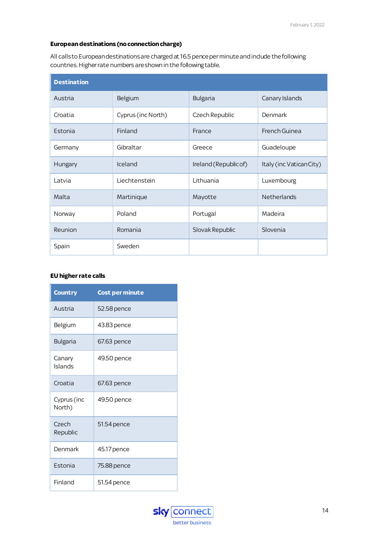#### **European destinations (no connection charge)**

All calls to European destinations are charged at 16.5 pence per minute and indude the following countries. Higher rate numbers are shown in the following table.

| <b>Destination</b> |                    |                       |                          |  |
|--------------------|--------------------|-----------------------|--------------------------|--|
| Austria            | Belgium            | Bulgaria              | Canary Islands           |  |
| Croatia            | Cyprus (inc North) | Czech Republic        | Denmark                  |  |
| Estonia            | Finland            | France                | French Guinea            |  |
| Germany            | Gibraltar          | Greece                | Guadeloupe               |  |
| Hungary            | Iceland            | Ireland (Republic of) | Italy (inc Vatican City) |  |
| Latvia             | Liechtenstein      | Lithuania             | Luxembourg               |  |
| Malta              | Martinique         | Mayotte               | Netherlands              |  |
| Norway             | Poland             | Portugal              | Madeira                  |  |
| Reunion            | Romania            | Slovak Republic       | Slovenia                 |  |
| Spain              | Sweden             |                       |                          |  |

#### **EU higher rate calls**

| <b>Country</b>        | <b>Cost per minute</b> |
|-----------------------|------------------------|
| Austria               | 52.58 pence            |
| Belgium               | 43.83 pence            |
| Bulgaria              | 67.63 pence            |
| Canary<br>Islands     | 49.50 pence            |
| Croatia               | 67.63 pence            |
| Cyprus (inc<br>North) | 49.50 pence            |
| Czech<br>Republic     | 51.54 pence            |
| Denmark               | 45.17 pence            |
| Estonia               | 75.88 pence            |
| Finland               | 51.54 pence            |

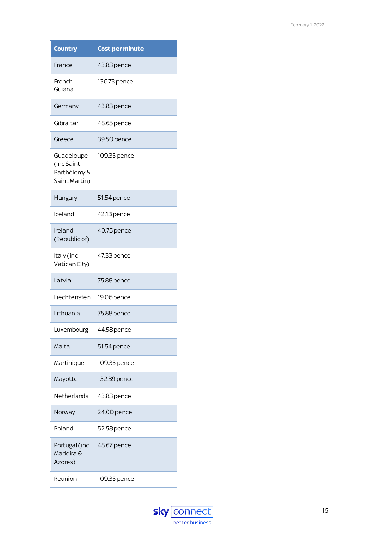| <b>Country</b>                                            | <b>Cost per minute</b> |
|-----------------------------------------------------------|------------------------|
| France                                                    | 43.83 pence            |
| French<br>Guiana                                          | 136.73 pence           |
| Germany                                                   | 43.83 pence            |
| Gibraltar                                                 | 48.65 pence            |
| Greece                                                    | 39.50 pence            |
| Guadeloupe<br>(inc Saint<br>Barthélemy &<br>Saint Martin) | 109.33 pence           |
| Hungary                                                   | 51.54 pence            |
| Iceland                                                   | 42.13 pence            |
| Ireland<br>(Republic of)                                  | 40.75 pence            |
| Italy (inc<br>Vatican City)                               | 47.33 pence            |
| Latvia                                                    | 75.88 pence            |
| Liechtenstein                                             | 19.06 pence            |
| Lithuania                                                 | 75.88 pence            |
| Luxembourg                                                | 44.58 pence            |
| Malta                                                     | 51.54 pence            |
| Martinique                                                | 109.33 pence           |
| Mayotte                                                   | 132.39 pence           |
| Netherlands                                               | 43.83 pence            |
| Norway                                                    | 24.00 pence            |
| Poland                                                    | 52.58 pence            |
| Portugal (inc<br>Madeira &<br>Azores)                     | 48.67 pence            |
| Reunion                                                   | 109.33 pence           |

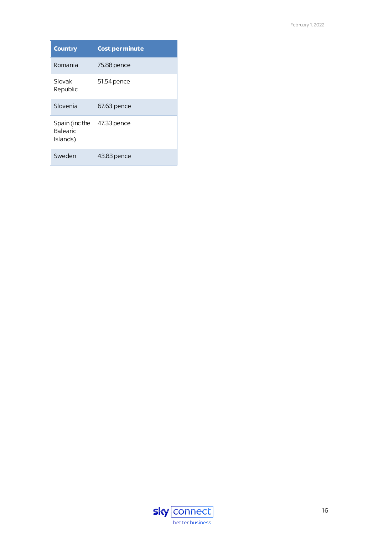| <b>Country</b>                        | <b>Cost per minute</b> |
|---------------------------------------|------------------------|
| Romania                               | 75.88 pence            |
| Slovak<br>Republic                    | 51.54 pence            |
| Slovenia                              | 67.63 pence            |
| Spain (incthe<br>Balearic<br>Islands) | 47.33 pence            |
| Sweden                                | 43.83 pence            |

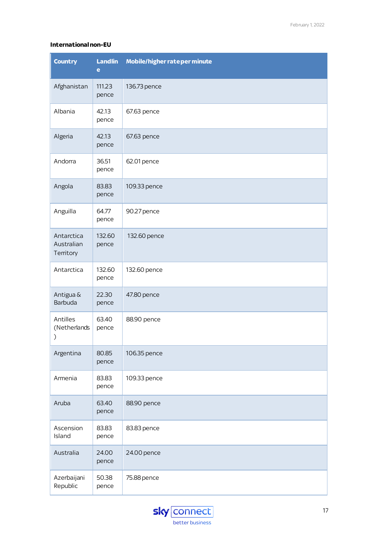#### **International non-EU**

| <b>Country</b>                        | <b>Landlin</b><br>e | Mobile/higher rateper minute |
|---------------------------------------|---------------------|------------------------------|
| Afghanistan                           | 111.23<br>pence     | 136.73 pence                 |
| Albania                               | 42.13<br>pence      | 67.63 pence                  |
| Algeria                               | 42.13<br>pence      | 67.63 pence                  |
| Andorra                               | 36.51<br>pence      | 62.01 pence                  |
| Angola                                | 83.83<br>pence      | 109.33 pence                 |
| Anguilla                              | 64.77<br>pence      | 90.27 pence                  |
| Antarctica<br>Australian<br>Territory | 132.60<br>pence     | 132.60 pence                 |
| Antarctica                            | 132.60<br>pence     | 132.60 pence                 |
| Antigua &<br>Barbuda                  | 22.30<br>pence      | 47.80 pence                  |
| Antilles<br>(Netherlands<br>⟩         | 63.40<br>pence      | 88.90 pence                  |
| Argentina                             | 80.85<br>pence      | 106.35 pence                 |
| Armenia                               | 83.83<br>pence      | 109.33 pence                 |
| Aruba                                 | 63.40<br>pence      | 88.90 pence                  |
| Ascension<br>Island                   | 83.83<br>pence      | 83.83 pence                  |
| Australia                             | 24.00<br>pence      | 24.00 pence                  |
| Azerbaijani<br>Republic               | 50.38<br>pence      | 75.88 pence                  |

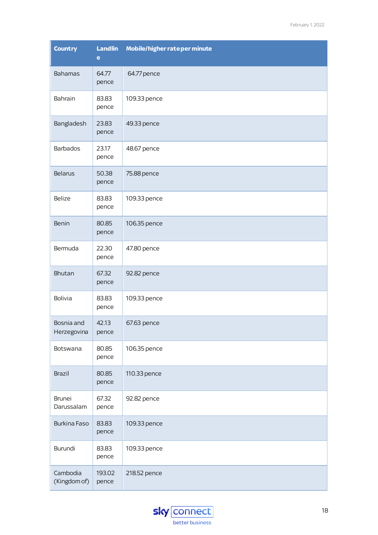| <b>Country</b>              | <b>Landlin</b><br>e | Mobile/higher rateper minute |
|-----------------------------|---------------------|------------------------------|
| <b>Bahamas</b>              | 64.77<br>pence      | 64.77 pence                  |
| Bahrain                     | 83.83<br>pence      | 109.33 pence                 |
| Bangladesh                  | 23.83<br>pence      | 49.33 pence                  |
| Barbados                    | 23.17<br>pence      | 48.67 pence                  |
| <b>Belarus</b>              | 50.38<br>pence      | 75.88 pence                  |
| Belize                      | 83.83<br>pence      | 109.33 pence                 |
| Benin                       | 80.85<br>pence      | 106.35 pence                 |
| Bermuda                     | 22.30<br>pence      | 47.80 pence                  |
| Bhutan                      | 67.32<br>pence      | 92.82 pence                  |
| <b>Bolivia</b>              | 83.83<br>pence      | 109.33 pence                 |
| Bosnia and<br>Herzegovina   | 42.13<br>pence      | 67.63 pence                  |
| Botswana                    | 80.85<br>pence      | 106.35 pence                 |
| Brazil                      | 80.85<br>pence      | 110.33 pence                 |
| <b>Brunei</b><br>Darussalam | 67.32<br>pence      | 92.82 pence                  |
| <b>Burkina Faso</b>         | 83.83<br>pence      | 109.33 pence                 |
| Burundi                     | 83.83<br>pence      | 109.33 pence                 |
| Cambodia<br>(Kingdom of)    | 193.02<br>pence     | 218.52 pence                 |

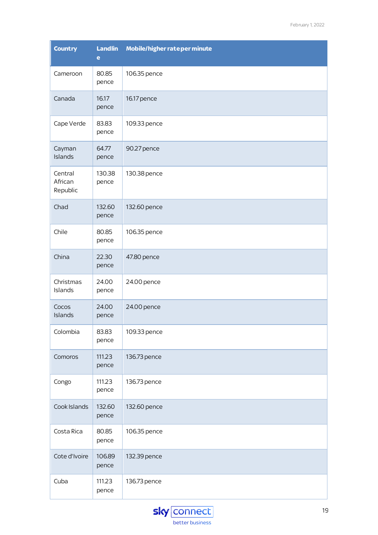| <b>Country</b>                 | <b>Landlin</b><br>e | Mobile/higher rateper minute |
|--------------------------------|---------------------|------------------------------|
| Cameroon                       | 80.85<br>pence      | 106.35 pence                 |
| Canada                         | 16.17<br>pence      | 16.17 pence                  |
| Cape Verde                     | 83.83<br>pence      | 109.33 pence                 |
| Cayman<br>Islands              | 64.77<br>pence      | 90.27 pence                  |
| Central<br>African<br>Republic | 130.38<br>pence     | 130.38 pence                 |
| Chad                           | 132.60<br>pence     | 132.60 pence                 |
| Chile                          | 80.85<br>pence      | 106.35 pence                 |
| China                          | 22.30<br>pence      | 47.80 pence                  |
| Christmas<br>Islands           | 24.00<br>pence      | 24.00 pence                  |
| Cocos<br>Islands               | 24.00<br>pence      | 24.00 pence                  |
| Colombia                       | 83.83<br>pence      | 109.33 pence                 |
| Comoros                        | 111.23<br>pence     | 136.73 pence                 |
| Congo                          | 111.23<br>pence     | 136.73 pence                 |
| Cook Islands                   | 132.60<br>pence     | 132.60 pence                 |
| Costa Rica                     | 80.85<br>pence      | 106.35 pence                 |
| Cote d'Ivoire                  | 106.89<br>pence     | 132.39 pence                 |
| Cuba                           | 111.23<br>pence     | 136.73 pence                 |

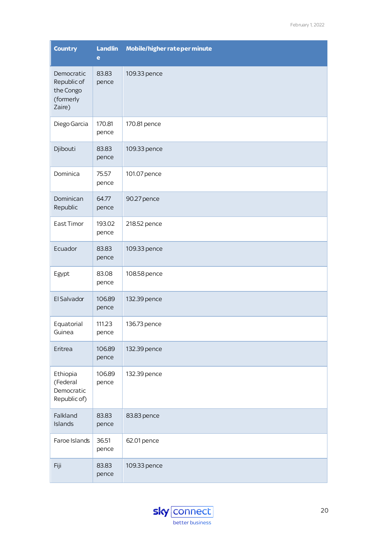| <b>Country</b>                                                | <b>Landlin</b><br>e | Mobile/higher rateper minute |
|---------------------------------------------------------------|---------------------|------------------------------|
| Democratic<br>Republic of<br>the Congo<br>(formerly<br>Zaire) | 83.83<br>pence      | 109.33 pence                 |
| Diego Garcia                                                  | 170.81<br>pence     | 170.81 pence                 |
| Djibouti                                                      | 83.83<br>pence      | 109.33 pence                 |
| Dominica                                                      | 75.57<br>pence      | 101.07 pence                 |
| Dominican<br>Republic                                         | 64.77<br>pence      | 90.27 pence                  |
| East Timor                                                    | 193.02<br>pence     | 218.52 pence                 |
| Ecuador                                                       | 83.83<br>pence      | 109.33 pence                 |
| Egypt                                                         | 83.08<br>pence      | 108.58 pence                 |
| El Salvador                                                   | 106.89<br>pence     | 132.39 pence                 |
| Equatorial<br>Guinea                                          | 111.23<br>pence     | 136.73 pence                 |
| Eritrea                                                       | 106.89<br>pence     | 132.39 pence                 |
| Ethiopia<br>(Federal<br>Democratic<br>Republic of)            | 106.89<br>pence     | 132.39 pence                 |
| Falkland<br>Islands                                           | 83.83<br>pence      | 83.83 pence                  |
| Faroe Islands                                                 | 36.51<br>pence      | 62.01 pence                  |
| Fiji                                                          | 83.83<br>pence      | 109.33 pence                 |

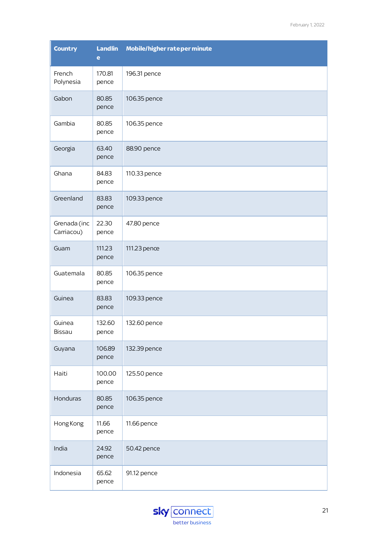| <b>Country</b>             | <b>Landlin</b><br>e | Mobile/higher rateper minute |
|----------------------------|---------------------|------------------------------|
| French<br>Polynesia        | 170.81<br>pence     | 196.31 pence                 |
| Gabon                      | 80.85<br>pence      | 106.35 pence                 |
| Gambia                     | 80.85<br>pence      | 106.35 pence                 |
| Georgia                    | 63.40<br>pence      | 88.90 pence                  |
| Ghana                      | 84.83<br>pence      | 110.33 pence                 |
| Greenland                  | 83.83<br>pence      | 109.33 pence                 |
| Grenada (inc<br>Carriacou) | 22.30<br>pence      | 47.80 pence                  |
| Guam                       | 111.23<br>pence     | 111.23 pence                 |
| Guatemala                  | 80.85<br>pence      | 106.35 pence                 |
| Guinea                     | 83.83<br>pence      | 109.33 pence                 |
| Guinea<br>Bissau           | 132.60<br>pence     | 132.60 pence                 |
| Guyana                     | 106.89<br>pence     | 132.39 pence                 |
| Haiti                      | 100.00<br>pence     | 125.50 pence                 |
| Honduras                   | 80.85<br>pence      | 106.35 pence                 |
| Hong Kong                  | 11.66<br>pence      | 11.66 pence                  |
| India                      | 24.92<br>pence      | 50.42 pence                  |
| Indonesia                  | 65.62<br>pence      | 91.12 pence                  |

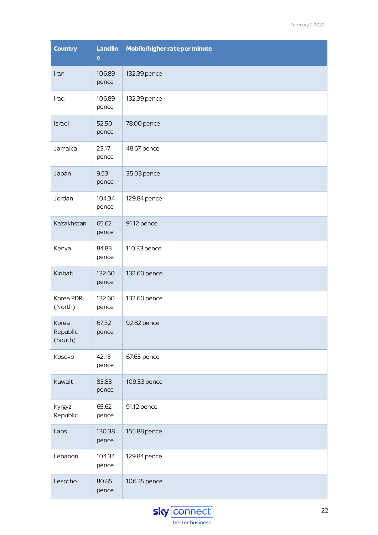| <b>Country</b>               | <b>Landlin</b><br>e | Mobile/higher rateper minute |
|------------------------------|---------------------|------------------------------|
| Iran                         | 106.89<br>pence     | 132.39 pence                 |
| Iraq                         | 106.89<br>pence     | 132.39 pence                 |
| Israel                       | 52.50<br>pence      | 78.00 pence                  |
| Jamaica                      | 23.17<br>pence      | 48.67 pence                  |
| Japan                        | 9.53<br>pence       | 35.03 pence                  |
| Jordan                       | 104.34<br>pence     | 129.84 pence                 |
| Kazakhstan                   | 65.62<br>pence      | 91.12 pence                  |
| Kenya                        | 84.83<br>pence      | 110.33 pence                 |
| Kiribati                     | 132.60<br>pence     | 132.60 pence                 |
| Korea PDR<br>(North)         | 132.60<br>pence     | 132.60 pence                 |
| Korea<br>Republic<br>(South) | 67.32<br>pence      | 92.82 pence                  |
| Kosovo                       | 42.13<br>pence      | 67.63 pence                  |
| Kuwait                       | 83.83<br>pence      | 109.33 pence                 |
| Kyrgyz<br>Republic           | 65.62<br>pence      | 91.12 pence                  |
| Laos                         | 130.38<br>pence     | 155.88 pence                 |
| Lebanon                      | 104.34<br>pence     | 129.84 pence                 |
| Lesotho                      | 80.85<br>pence      | 106.35 pence                 |

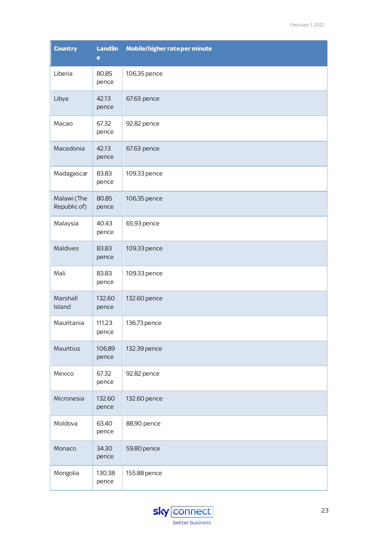| <b>Country</b>              | <b>Landlin</b><br>e | Mobile/higher rateper minute |
|-----------------------------|---------------------|------------------------------|
| Liberia                     | 80.85<br>pence      | 106.35 pence                 |
| Libya                       | 42.13<br>pence      | 67.63 pence                  |
| Macao                       | 67.32<br>pence      | 92.82 pence                  |
| Macedonia                   | 42.13<br>pence      | 67.63 pence                  |
| Madagascar                  | 83.83<br>pence      | 109.33 pence                 |
| Malawi (The<br>Republic of) | 80.85<br>pence      | 106.35 pence                 |
| Malaysia                    | 40.43<br>pence      | 65.93 pence                  |
| Maldives                    | 83.83<br>pence      | 109.33 pence                 |
| Mali                        | 83.83<br>pence      | 109.33 pence                 |
| Marshall<br>Island          | 132.60<br>pence     | 132.60 pence                 |
| Mauritania                  | 111.23<br>pence     | 136.73 pence                 |
| Mauritius                   | 106.89<br>pence     | 132.39 pence                 |
| Mexico                      | 67.32<br>pence      | 92.82 pence                  |
| Micronesia                  | 132.60<br>pence     | 132.60 pence                 |
| Moldova                     | 63.40<br>pence      | 88.90 pence                  |
| Monaco                      | 34.30<br>pence      | 59.80 pence                  |
| Mongolia                    | 130.38<br>pence     | 155.88 pence                 |

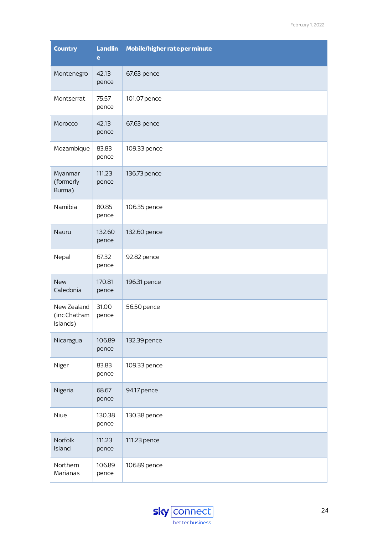| <b>Country</b>                          | <b>Landlin</b><br>e | Mobile/higher rateper minute |
|-----------------------------------------|---------------------|------------------------------|
| Montenegro                              | 42.13<br>pence      | 67.63 pence                  |
| Montserrat                              | 75.57<br>pence      | 101.07 pence                 |
| Morocco                                 | 42.13<br>pence      | 67.63 pence                  |
| Mozambique                              | 83.83<br>pence      | 109.33 pence                 |
| Myanmar<br>(formerly<br>Burma)          | 111.23<br>pence     | 136.73 pence                 |
| Namibia                                 | 80.85<br>pence      | 106.35 pence                 |
| Nauru                                   | 132.60<br>pence     | 132.60 pence                 |
| Nepal                                   | 67.32<br>pence      | 92.82 pence                  |
| <b>New</b><br>Caledonia                 | 170.81<br>pence     | 196.31 pence                 |
| New Zealand<br>(inc Chatham<br>Islands) | 31.00<br>pence      | 56.50 pence                  |
| Nicaragua                               | 106.89<br>pence     | 132.39 pence                 |
| Niger                                   | 83.83<br>pence      | 109.33 pence                 |
| Nigeria                                 | 68.67<br>pence      | 94.17 pence                  |
| Niue                                    | 130.38<br>pence     | 130.38 pence                 |
| Norfolk<br>Island                       | 111.23<br>pence     | 111.23 pence                 |
| Northern<br>Marianas                    | 106.89<br>pence     | 106.89 pence                 |

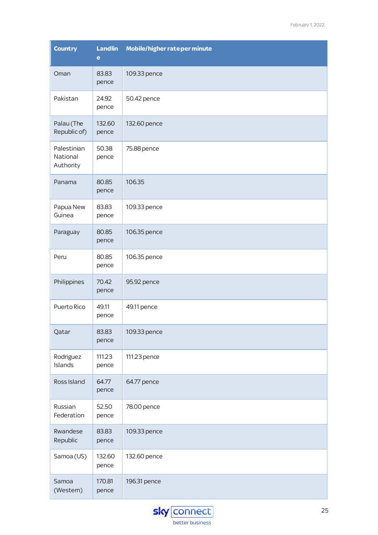| <b>Country</b>                       | <b>Landlin</b><br>e | Mobile/higher rateper minute |
|--------------------------------------|---------------------|------------------------------|
| Oman                                 | 83.83<br>pence      | 109.33 pence                 |
| Pakistan                             | 24.92<br>pence      | 50.42 pence                  |
| Palau (The<br>Republic of)           | 132.60<br>pence     | 132.60 pence                 |
| Palestinian<br>National<br>Authority | 50.38<br>pence      | 75.88 pence                  |
| Panama                               | 80.85<br>pence      | 106.35                       |
| Papua New<br>Guinea                  | 83.83<br>pence      | 109.33 pence                 |
| Paraguay                             | 80.85<br>pence      | 106.35 pence                 |
| Peru                                 | 80.85<br>pence      | 106.35 pence                 |
| Philippines                          | 70.42<br>pence      | 95.92 pence                  |
| Puerto Rico                          | 49.11<br>pence      | 49.11 pence                  |
| Qatar                                | 83.83<br>pence      | 109.33 pence                 |
| Rodriguez<br>Islands                 | 111.23<br>pence     | 111.23 pence                 |
| Ross Island                          | 64.77<br>pence      | 64.77 pence                  |
| Russian<br>Federation                | 52.50<br>pence      | 78.00 pence                  |
| Rwandese<br>Republic                 | 83.83<br>pence      | 109.33 pence                 |
| Samoa (US)                           | 132.60<br>pence     | 132.60 pence                 |
| Samoa<br>(Western)                   | 170.81<br>pence     | 196.31 pence                 |

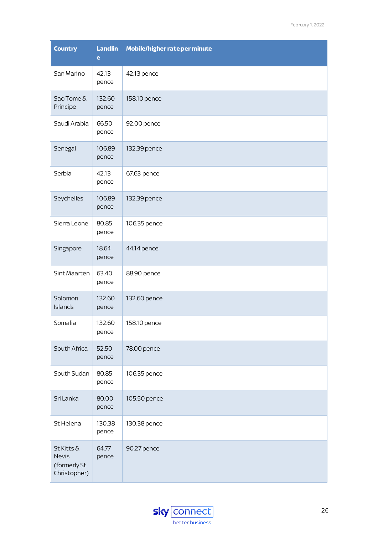| <b>Country</b>                                             | <b>Landlin</b><br>e | Mobile/higher rateper minute |
|------------------------------------------------------------|---------------------|------------------------------|
| San Marino                                                 | 42.13<br>pence      | 42.13 pence                  |
| Sao Tome &<br>Principe                                     | 132.60<br>pence     | 158.10 pence                 |
| Saudi Arabia                                               | 66.50<br>pence      | 92.00 pence                  |
| Senegal                                                    | 106.89<br>pence     | 132.39 pence                 |
| Serbia                                                     | 42.13<br>pence      | 67.63 pence                  |
| Seychelles                                                 | 106.89<br>pence     | 132.39 pence                 |
| Sierra Leone                                               | 80.85<br>pence      | 106.35 pence                 |
| Singapore                                                  | 18.64<br>pence      | 44.14 pence                  |
| Sint Maarten                                               | 63.40<br>pence      | 88.90 pence                  |
| Solomon<br>Islands                                         | 132.60<br>pence     | 132.60 pence                 |
| Somalia                                                    | 132.60<br>pence     | 158.10 pence                 |
| South Africa                                               | 52.50<br>pence      | 78.00 pence                  |
| South Sudan                                                | 80.85<br>pence      | 106.35 pence                 |
| Sri Lanka                                                  | 80.00<br>pence      | 105.50 pence                 |
| St Helena                                                  | 130.38<br>pence     | 130.38 pence                 |
| St Kitts &<br><b>Nevis</b><br>(formerly St<br>Christopher) | 64.77<br>pence      | 90.27 pence                  |

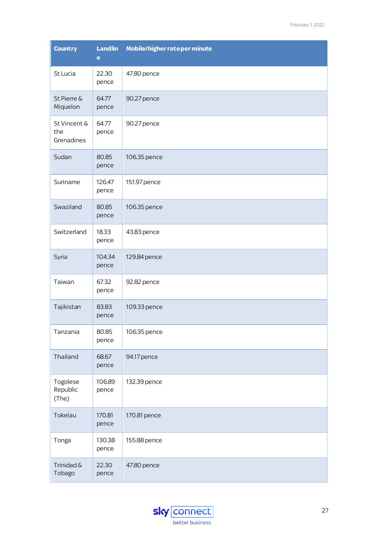| <b>Country</b>                    | <b>Landlin</b><br>$\bullet$ | Mobile/higher rateper minute |  |
|-----------------------------------|-----------------------------|------------------------------|--|
| St Lucia                          | 22.30<br>pence              | 47.80 pence                  |  |
| St Pierre &<br>Miquelon           | 64.77<br>pence              | 90.27 pence                  |  |
| St Vincent &<br>the<br>Grenadines | 64.77<br>pence              | 90.27 pence                  |  |
| Sudan                             | 80.85<br>pence              | 106.35 pence                 |  |
| Suriname                          | 126.47<br>pence             | 151.97 pence                 |  |
| Swaziland                         | 80.85<br>pence              | 106.35 pence                 |  |
| Switzerland                       | 18.33<br>pence              | 43.83 pence                  |  |
| Syria                             | 104.34<br>pence             | 129.84 pence                 |  |
| Taiwan                            | 67.32<br>pence              | 92.82 pence                  |  |
| Tajikistan                        | 83.83<br>pence              | 109.33 pence                 |  |
| Tanzania                          | 80.85<br>pence              | 106.35 pence                 |  |
| Thailand                          | 68.67<br>pence              | 94.17 pence                  |  |
| Togolese<br>Republic<br>(The)     | 106.89<br>pence             | 132.39 pence                 |  |
| Tokelau                           | 170.81<br>pence             | 170.81 pence                 |  |
| Tonga                             | 130.38<br>pence             | 155.88 pence                 |  |
| Trinidad &<br>Tobago              | 22.30<br>pence              | 47.80 pence                  |  |

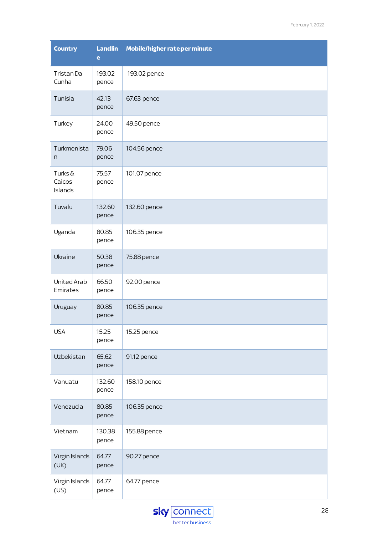| <b>Country</b>              | <b>Landlin</b><br>e | Mobile/higher rateper minute |
|-----------------------------|---------------------|------------------------------|
| Tristan Da<br>Cunha         | 193.02<br>pence     | 193.02 pence                 |
| Tunisia                     | 42.13<br>pence      | 67.63 pence                  |
| Turkey                      | 24.00<br>pence      | 49.50 pence                  |
| Turkmenista<br>n            | 79.06<br>pence      | 104.56 pence                 |
| Turks&<br>Caicos<br>Islands | 75.57<br>pence      | 101.07 pence                 |
| Tuvalu                      | 132.60<br>pence     | 132.60 pence                 |
| Uganda                      | 80.85<br>pence      | 106.35 pence                 |
| Ukraine                     | 50.38<br>pence      | 75.88 pence                  |
| United Arab<br>Emirates     | 66.50<br>pence      | 92.00 pence                  |
| Uruguay                     | 80.85<br>pence      | 106.35 pence                 |
| <b>USA</b>                  | 15.25<br>pence      | 15.25 pence                  |
| Uzbekistan                  | 65.62<br>pence      | 91.12 pence                  |
| Vanuatu                     | 132.60<br>pence     | 158.10 pence                 |
| Venezuela                   | 80.85<br>pence      | 106.35 pence                 |
| Vietnam                     | 130.38<br>pence     | 155.88 pence                 |
| Virgin Islands<br>(UK)      | 64.77<br>pence      | 90.27 pence                  |
| Virgin Islands<br>(US)      | 64.77<br>pence      | 64.77 pence                  |

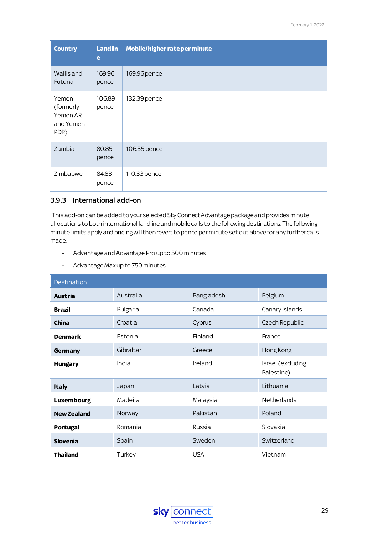| <b>Country</b>                                      | <b>Landlin</b><br>e | Mobile/higher rate per minute |
|-----------------------------------------------------|---------------------|-------------------------------|
| Wallis and<br>Futuna                                | 169.96<br>pence     | 169.96 pence                  |
| Yemen<br>(formerly<br>Yemen AR<br>and Yemen<br>PDR) | 106.89<br>pence     | 132.39 pence                  |
| Zambia                                              | 80.85<br>pence      | 106.35 pence                  |
| Zimbabwe                                            | 84.83<br>pence      | 110.33 pence                  |

#### <span id="page-30-0"></span>3.9.3 International add-on

This add-on can be added to your selected Sky Connect Advantage package and provides minute allocations to both international landline and mobile calls to the following destinations. The following minute limits apply and pricing will then revert to pence per minute set out above for any further calls made:

- Advantage and Advantage Pro up to 500 minutes
- Advantage Maxup to 750 minutes

| <b>Destination</b> |           |            |                                |
|--------------------|-----------|------------|--------------------------------|
| <b>Austria</b>     | Australia | Bangladesh | Belgium                        |
| <b>Brazil</b>      | Bulgaria  | Canada     | Canary Islands                 |
| <b>China</b>       | Croatia   | Cyprus     | Czech Republic                 |
| <b>Denmark</b>     | Estonia   | Finland    | France                         |
| Germany            | Gibraltar | Greece     | Hong Kong                      |
| <b>Hungary</b>     | India     | Ireland    | Israel (exduding<br>Palestine) |
| <b>Italy</b>       | Japan     | Latvia     | Lithuania                      |
| <b>Luxembourg</b>  | Madeira   | Malaysia   | <b>Netherlands</b>             |
| <b>New Zealand</b> | Norway    | Pakistan   | Poland                         |
| <b>Portugal</b>    | Romania   | Russia     | Slovakia                       |
| <b>Slovenia</b>    | Spain     | Sweden     | Switzerland                    |
| <b>Thailand</b>    | Turkey    | <b>USA</b> | Vietnam                        |